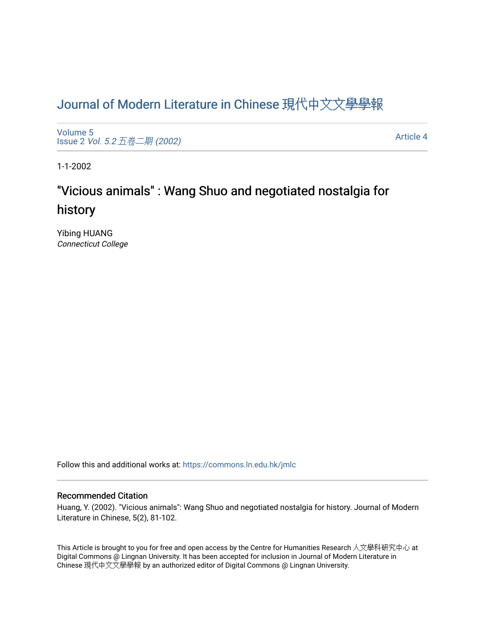# [Journal of Modern Literature in Chinese](https://commons.ln.edu.hk/jmlc) 現代中文文學學報

[Volume 5](https://commons.ln.edu.hk/jmlc/vol5) Issue 2 Vol. 5.2 [五卷二期](https://commons.ln.edu.hk/jmlc/vol5/iss2) (2002)

[Article 4](https://commons.ln.edu.hk/jmlc/vol5/iss2/4) 

1-1-2002

# "Vicious animals" : Wang Shuo and negotiated nostalgia for history

Yibing HUANG Connecticut College

Follow this and additional works at: [https://commons.ln.edu.hk/jmlc](https://commons.ln.edu.hk/jmlc?utm_source=commons.ln.edu.hk%2Fjmlc%2Fvol5%2Fiss2%2F4&utm_medium=PDF&utm_campaign=PDFCoverPages) 

#### Recommended Citation

Huang, Y. (2002). "Vicious animals": Wang Shuo and negotiated nostalgia for history. Journal of Modern Literature in Chinese, 5(2), 81-102.

This Article is brought to you for free and open access by the Centre for Humanities Research 人文學科研究中心 at Digital Commons @ Lingnan University. It has been accepted for inclusion in Journal of Modern Literature in Chinese 現代中文文學學報 by an authorized editor of Digital Commons @ Lingnan University.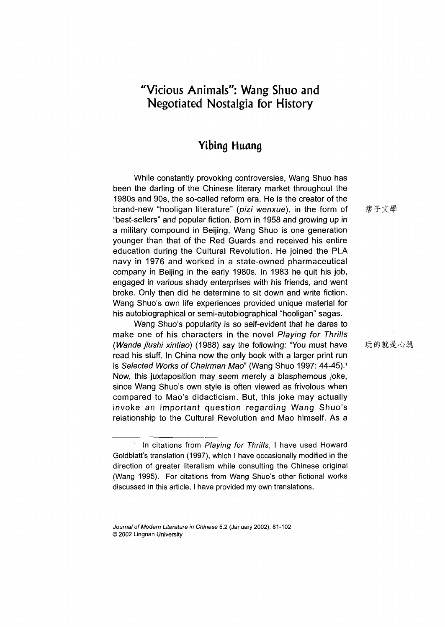## **"Vicious Animals": Wang Shuo and Negotiated Nostalgia for History**

## **Yibing Huang**

While constantly provoking controversies, Wang Shuo has been the darling of the Chinese literary market throughout the 1980s and 90s, the so-called reform era. He is the creator of the brand-new "hooligan literature" *(pizi wenxue)*, in the form of "best-sellers" and popular fiction. Born in 1958 and growing up in a military compound in Beijing, Wang Shuo is one generation younger than that of the Red Guards and received his entire education during the Cultural Revolution. He joined the PLA navy in 1976 and worked in a state-owned pharmaceutical company in Beijing in the early 1980s. In 1983 he quit his job, engaged in various shady enterprises with his friends, and went broke. Only then did he determine to sit down and write fiction. Wang Shuo's own life experiences provided unique material for his autobiographical or semi-autobiographical "hooligan" sagas.

Wang Shuo's popularity is so self-evident that he dares to make one of his characters in the novel *Playing for Thrills (Wande jiushi xintiao)* (1988) say the following: "You must have read his stuff. In China now the only book with a larger print run is *Selected Works of Chairman Mao*" (Wang Shuo 1997: 44-45).<sup>1</sup> Now, this juxtaposition may seem merely a blasphemous joke, since Wang Shuo's own style is often viewed as frivolous when compared to Mao's didacticism. But, this joke may actually invoke an important question regarding Wang Shuo's relationship to the Cultural Revolution and Mao himself. As a

痞子文學

玩的就是心跳

<sup>1</sup> In citations from *Playing for Thrills,* I have used Howard Goldblatt's translation (1997), which I have occasionally modified in the direction of greater literalism while consulting the Chinese original (Wang 1995). For citations from Wang Shuo's other fictional works discussed in this article, I have provided my own translations.

*Journal of Modern Literature in Chinese* **5.2 (January 2002): 81-102 © 2002 Lingnan University**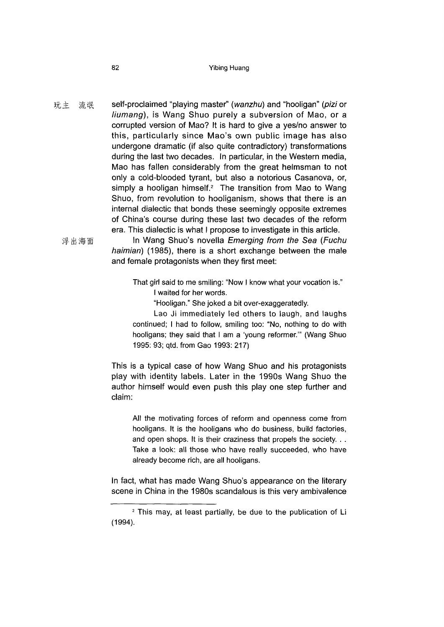#### **82** Yibing Huang

玩主流氓 self-proclaimed "playing master" (wanzhu) and "hooligan" (pizi or *liumang),* is Wang Shuo purely a subversion of Mao, or a corrupted version of Mao? It is hard to give a yes/no answer to this, particularly since Mao's own public image has also undergone dramatic (if also quite contradictory) transformations during the last two decades. In particular, in the Western media, Mao has fallen considerably from the great helmsman to not only a cold-blooded tyrant, but also a notorious Casanova, or, simply a hooligan himself.<sup>2</sup> The transition from Mao to Wang Shuo, from revolution to hooliganism, shows that there is an internal dialectic that bonds these seemingly opposite extremes of China's course during these last two decades of the reform era. This dialectic is what I propose to investigate in this article.

浮出海面

In Wang Shuo's novella *Emerging from the Sea (Fuchu haimian)* (1985), there is a short exchange between the male and female protagonists when they first meet:

- That girl said to me smiling: "Now I know what your vocation is\_" I waited for her words.
	- "Hooligan." She joked a bit over-exaggeratedly.

Lao Ji immediately led others to laugh, and laughs continued; I had to follow, smiling too: "No, nothing to do with hooligans; they said that I am a 'young reformer."' (Wang Shuo 1995: 93; qtd. from Gao 1993: 217)

This is a typical case of how Wang Shuo and his protagonists play with identity labels. Later in the 1990s Wang Shuo the author himself would even push this play one step further and claim:

All the motivating forces of reform and openness come from hooligans. It is the hooligans who do business, build factories, and open shops. It is their craziness that propels the society... Take a look: all those who have really succeeded, who have already become rich, are all hooligans.

In fact, what has made Wang Shuo's appearance on the literary scene in China in the 1980s scandalous is this very ambivalence

<sup>2</sup> This may, at least partially, be due to the publication of Li (1994).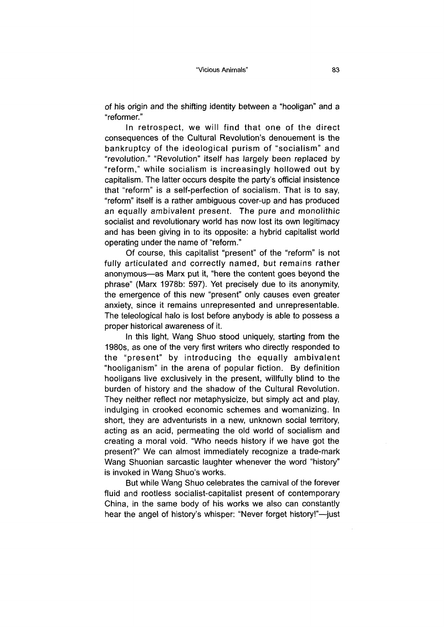of his origin and the shifting identity between a "hooligan" and a "reformer."

In retrospect, we will find that one of the direct consequences of the Cultural Revolution's denouement is the bankruptcy of the ideological purism of "socialism" and "revolution." "Revolution" itself has largely been replaced by "reform," while socialism is increasingly hollowed out by capitalism. The latter occurs despite the party's official insistence that "reform" is a self-perfection of socialism. That is to say, "reform" itself is a rather ambiguous cover-up and has produced an equally ambivalent present. The pure and monolithic socialist and revolutionary world has now lost its own legitimacy and has been giving in to its opposite: a hybrid capitalist world operating under the name of "reform."

Of course, this capitalist "present" of the "reform" is not fully articulated and correctly named, but remains rather anonymous—as Marx put it, "here the content goes beyond the phrase" (Marx 1978b: 597). Yet precisely due to its anonymity the emergence of this new "present" only causes even greater anxiety, since it remains unrepresented and unrepresentable. The teleological halo is lost before anybody is able to possess a proper historical awareness of it.

In this light, Wang Shuo stood uniquely, starting from the 1980s, as one of the very first writers who directly responded to the "present" by introducing the equally ambivalent "hooliganism" in the arena of popular fiction. By definition hooligans live exclusively in the present, willfully blind to the burden of history and the shadow of the Cultural Revolution. They neither reflect nor metaphysicize, but simply act and play, indulging in crooked economic schemes and womanizing. In short, they are adventurists in a new, unknown social territory, acting as an acid, permeating the old world of socialism and creating a moral void. "Who needs history if we have got the present?" We can almost immediately recognize a trade-mark Wang Shuonian sarcastic laughter whenever the word "history" is invoked in Wang Shuo's works.

But while Wang Shuo celebrates the carnival of the forever fluid and rootless socialist-capitalist present of contemporary China, in the same body of his works we also can constantly hear the angel of history's whisper: "Never forget history!"—just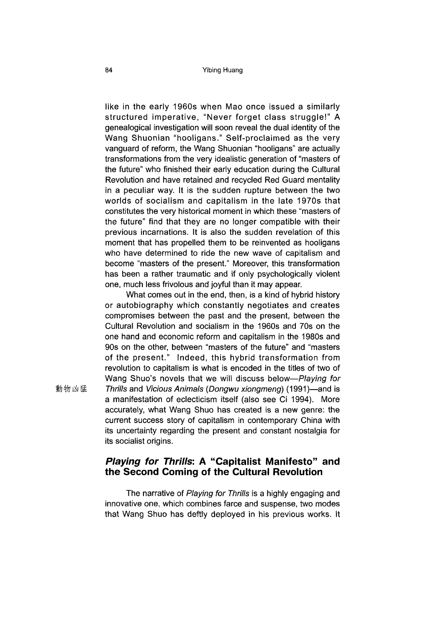like in the early 1960s when Mao once issued a similarly structured im perative, "Never forget class struggle!" A genealogical investigation will soon reveal the dual identity of the Wang Shuonian "hooligans." Self-proclaimed as the very vanguard of reform, the Wang Shuonian "hooligans" are actually transformations from the very idealistic generation of ''masters of the future" who finished their early education during the Cultural Revolution and have retained and recycled Red Guard mentality in a peculiar way. It is the sudden rupture between the two worlds of socialism and capitalism in the late 1970s that constitutes the very historical moment in which these "masters of the future" find that they are no longer compatible with their previous incarnations. It is also the sudden revelation of this moment that has propelled them to be reinvented as hooligans who have determined to ride the new wave of capitalism and become "masters of the present." Moreover, this transformation has been a rather traumatic and if only psychologically violent one, much less frivolous and joyful than it may appear.

What comes out in the end, then, is a kind of hybrid history or autobiography which constantly negotiates and creates compromises between the past and the present, between the Cultural Revolution and socialism in the 1960s and 70s on the one hand and economic reform and capitalism in the 1980s and 90s on the other, between "masters of the future" and "masters of the present." Indeed, this hybrid transformation from revolution to capitalism is what is encoded in the titles of two of Wang Shuo's novels that we will discuss below—Playing for 動物凶猛 *Thrills* and Vicious Animals (Dongwu xiongmeng) (1991)—and is a manifestation of eclecticism itself (also see Ci 1994). More accurately, what Wang Shuo has created is a new genre: the current success story of capitalism in contemporary China with its uncertainty regarding the present and constant nostalgia for its socialist origins.

## **Plaving for Thrills: A "Capitalist Manifesto" and the Second Coming of the Cultural Revolution**

The narrative of *Playing for Thrills* is a highly engaging and innovative one, which combines farce and suspense, two modes that Wang Shuo has deftly deployed in his previous works. It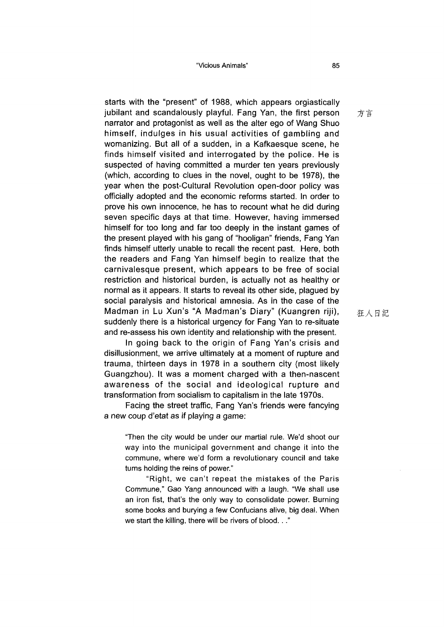starts with the "present" of 1988, which appears orgiastically jubilant and scandalously playful. Fang Yan, the first person narrator and protagonist as well as the alter ego of Wang Shuo himself, indulges in his usual activities of gambling and womanizing. But all of a sudden, in a Kafkaesque scene, he finds himself visited and interrogated by the police. He is suspected of having committed a murder ten years previously (which, according to clues in the novel, ought to be 1978), the year when the post-Cultural Revolution open-door policy was officially adopted and the economic reforms started. In order to prove his own innocence, he has to recount what he did during seven specific days at that time. However, having immersed himself for too long and far too deeply in the instant games of the present played with his gang of "hooligan" friends, Fang Yan finds himself utterly unable to recall the recent past. Here, both the readers and Fang Yan himself begin to realize that the carnivalesque present, which appears to be free of social restriction and historical burden, is actually not as healthy or normal as it appears. It starts to reveal its other side, plagued by social paralysis and historical amnesia. As in the case of the Madman in Lu Xun's "A Madman's Diary" (Kuangren riji), suddenly there is a historical urgency for Fang Yan to re-situate and re-assess his own identity and relationship with the present.

In going back to the origin of Fang Yan's crisis and disillusionment, we arrive ultimately at a moment of rupture and trauma, thirteen days in 1978 in a southern city (most likely Guangzhou). It was a moment charged with a then-nascent awareness of the social and ideological rupture and transformation from socialism to capitalism in the late 1970s.

Facing the street traffic, Fang Yan's friends were fancying a new coup d'etat as if playing a game:

"Then the city would be under our martial rule. We'd shoot our way into the municipal government and change it into the commune, where we'd form a revolutionary council and take turns holding the reins of power."

"Right, we can't repeat the mistakes of the Paris Commune," Gao Yang announced with a laugh. "We shall use an iron fist, that's the only way to consolidate power. Burning some books and burying a few Confucians alive, big deal. When we start the killing, there will be rivers of blood..."

狂人日記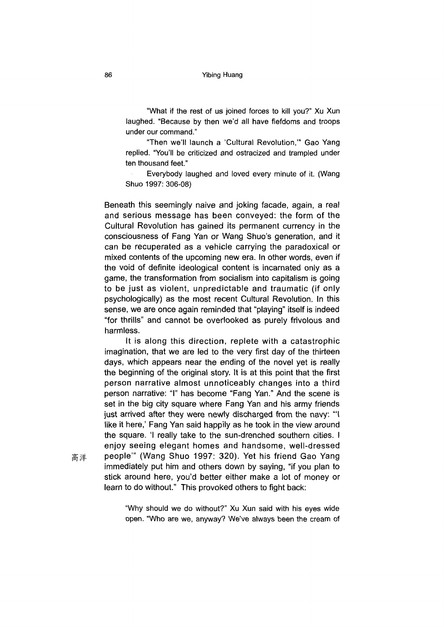"What if the rest of us joined forces to kill you?" Xu Xun laughed. "Because by then we'd all have fiefdoms and troops under our command."

"Then we'll launch a 'Cultural Revolution," Gao Yang replied. "You'll be criticized and ostracized and trampled under ten thousand feet."

Everybody laughed and loved every minute of it. (Wang Shuo 1997: 306-08)

Beneath this seemingly naive and joking facade, again, a real and serious message has been conveyed: the form of the Cultural Revolution has gained its permanent currency in the consciousness of Fang Yan or Wang Shuo's generation, and it can be recuperated as a vehicle carrying the paradoxical or mixed contents of the upcoming new era. In other words, even if the void of definite ideological content is incarnated only as a game, the transformation from socialism into capitalism is going to be just as violent, unpredictable and traumatic (if only psychologically) as the most recent Cultural Revolution. In this sense, we are once again reminded that "playing" itself is indeed "for thrills" and cannot be overlooked as purely frivolous and harmless.

It is along this direction, replete with a catastrophic imagination, that we are led to the very first day of the thirteen days, which appears near the ending of the novel yet is really the beginning of the original story. It is at this point that the first person narrative almost unnoticeably changes into a third person narrative: "I" has become "Fang Yan." And the scene is set in the big city square where Fang Yan and his army friends just arrived after they were newly discharged from the navy: "I like it here,' Fang Yan said happily as he took in the view around the square. 'I really take to the sun-drenched southern cities. I enjoy seeing elegant homes and handsome, well-dressed people"' (Wang Shuo 1997: 320). Yet his friend Gao Yang immediately put him and others down by saying, "if you plan to stick around here, you'd better either make a lot of money or learn to do without." This provoked others to fight back:

高洋

"Why should we do without?" Xu Xun said with his eyes wide open. "Who are we, anyway? We've always been the cream of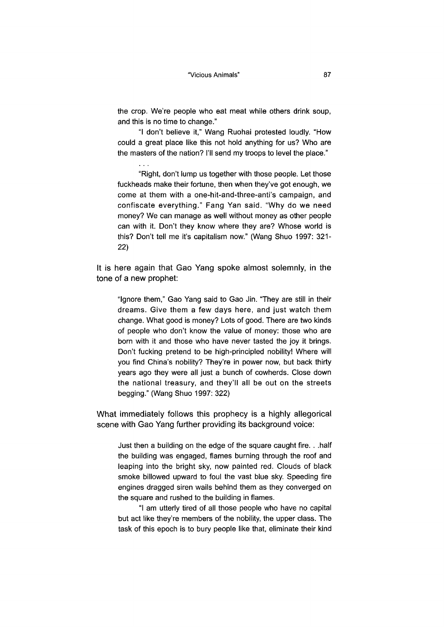the crop. We're people who eat meat while others drink soup, and this is no time to change."

"I don't believe it," Wang Ruohai protested loudly. "How could a great place like this not hold anything for us? Who are the masters of the nation? I'll send my troops to level the place."

"Right, don't lump us together with those people. Let those fuckheads make their fortune, then when they've got enough, we come at them with a one-hit-and-three-anti's campaign, and confiscate everything." Fang Yan said. "Why do we need money? We can manage as well without money as other people can with it. Don't they know where they are? Whose world is this? Don't tell me it's capitalism now." (Wang Shuo 1997: 321- 22**)**

It is here again that Gao Yang spoke almost solemnly, in the tone of a new prophet:

"Ignore them," Gao Yang said to Gao Jin. "They are still in their dreams. Give them a few days here, and just watch them change. What good is money? Lots of good. There are two kinds of people who don't know the value of money: those who are born with it and those who have never tasted the joy it brings. Don't fucking pretend to be high-principled nobility! Where will you find China's nobility? They're in power now, but back thirty years ago they were all just a bunch of cowherds. Close down the national treasury, and they'll all be out on the streets begging." (Wang Shuo 1997: 322)

What immediately follows this prophecy is a highly allegorical scene with Gao Yang further providing its background voice:

Just then a building on the edge of the square caught fire. . .half the building was engaged, flames burning through the roof and leaping into the bright sky, now painted red. Clouds of black smoke billowed upward to foul the vast blue sky. Speeding fire engines dragged siren wails behind them as they converged on the square and rushed to the building in flames.

"I am utterly tired of all those people who have no capital but act like they're members of the nobility, the upper class. The task of this epoch is to bury people like that, eliminate their kind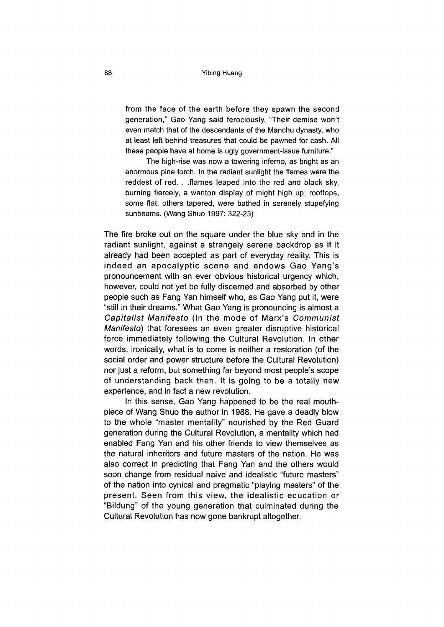#### **88** Yibing Huang

from the face of the earth before they spawn the second generation," Gao Yang said ferociously. "Their demise won't even match that of the descendants of the Manchu dynasty, who at least left behind treasures that could be pawned for cash. All these people have at home is ugly government-issue furniture."

The high-rise was now a towering inferno, as bright as an enormous pine torch. In the radiant sunlight the flames were the reddest of red. . .flames leaped into the red and black sky, burning fiercely, a wanton display of might high up; rooftops, some flat, others tapered, were bathed in serenely stupefying sunbeams. (Wang Shuo 1997: 322-23)

The fire broke out on the square under the blue sky and in the radiant sunlight, against a strangely serene backdrop as if it already had been accepted as part of everyday reality. This is indeed an apocalyptic scene and endows Gao Yang's pronouncement with an ever obvious historical urgency which, however, could not yet be fully discerned and absorbed by other people such as Fang Yan himself who, as Gao Yang put it, were "still in their dreams." What Gao Yang is pronouncing is almost a *Capitalist Manifesto* (in the mode of Marx's *Communist Manifesto)* that foresees an even greater disruptive historical force immediately following the Cultural Revolution. In other words, ironically, what is to come is neither a restoration (of the social order and power structure before the Cultural Revolution) nor just a reform, but something far beyond most people's scope of understanding back then. It is going to be a totally new experience, and in fact a new revolution.

In this sense, Gao Yang happened to be the real mouthpiece of Wang Shuo the author in 1988. He gave a deadly blow to the whole "master mentality" nourished by the Red Guard generation during the Cultural Revolution, a mentality which had enabled Fang Yan and his other friends to view themselves as the natural inheritors and future masters of the nation. He was also correct in predicting that Fang Yan and the others would soon change from residual naive and idealistic "future masters" of the nation into cynical and pragmatic "playing masters" of the present. Seen from this view, the idealistic education or "Bildung" of the young generation that culminated during the Cultural Revolution has now gone bankrupt altogether.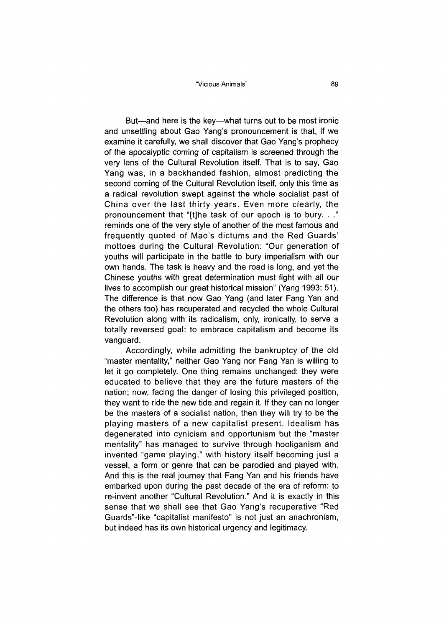"Vicious Animals" **89**

But—and here is the key—what turns out to be most ironic and unsettling about Gao Yang's pronouncement is that, if we examine it carefully, we shall discover that Gao Yang's prophecy of the apocalyptic coming of capitalism is screened through the very lens of the Cultural Revolution itself. That is to say, Gao Yang was, in a backhanded fashion, almost predicting the second coming of the Cultural Revolution itself, only this time as a radical revolution swept against the whole socialist past of China over the last thirty years. Even more clearly, the pronouncement that "[t]he task of our epoch is to bury. reminds one of the very style of another of the most famous and frequently quoted of Mao's dictums and the Red Guards' mottoes during the Cultural Revolution: "Our generation of youths will participate in the battle to bury imperialism with our own hands. The task is heavy and the road is long, and yet the Chinese youths with great determination must fight with all our lives to accomplish our great historical mission" (Yang 1993: 51). The difference is that now Gao Yang (and later Fang Yan and the others too) has recuperated and recycled the whole Cultural Revolution along with its radicalism, only, ironically, to serve a totally reversed goal: to embrace capitalism and become its vanguard.

Accordingly, while admitting the bankruptcy of the old "master mentality," neither Gao Yang nor Fang Yan is willing to let it go completely. One thing remains unchanged: they were educated to believe that they are the future masters of the nation; now, facing the danger of losing this privileged position, they want to ride the new tide and regain it. If they can no longer be the masters of a socialist nation, then they will try to be the playing masters of a new capitalist present. Idealism has degenerated into cynicism and opportunism but the "master mentality" has managed to survive through hooliganism and invented "game playing," with history itself becoming just a vessel, a form or genre that can be parodied and played with. And this is the real journey that Fang Yan and his friends have embarked upon during the past decade of the era of reform: to re-invent another "Cultural Revolution." And it is exactly in this sense that we shall see that Gao Yang's recuperative "Red Guards"-like "capitalist manifesto" is not just an anachronism, but indeed has its own historical urgency and legitimacy.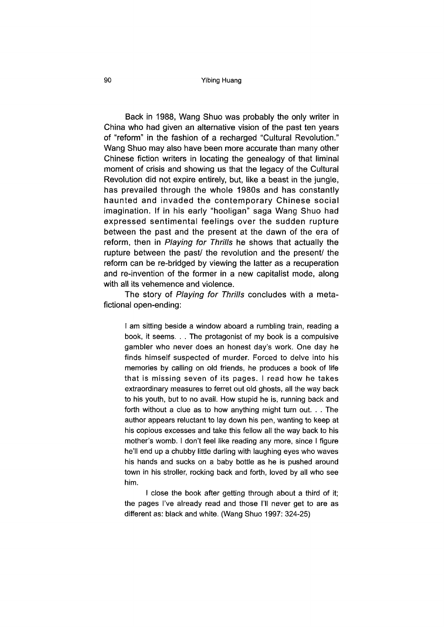#### **90** Yibing Huang

Back in 1988, Wang Shuo was probably the only writer in China who had given an alternative vision of the past ten years of "reform" in the fashion of a recharged "Cultural Revolution." Wang Shuo may also have been more accurate than many other Chinese fiction writers in locating the genealogy of that liminal moment of crisis and showing us that the legacy of the Cultural Revolution did not expire entirely, but, like a beast in the jungle, has prevailed through the whole 1980s and has constantly haunted and invaded the contemporary Chinese social imagination. If in his early "hooligan" saga Wang Shuo had expressed sentimental feelings over the sudden rupture between the past and the present at the dawn of the era of reform, then in *Playing for Thrills* he shows that actually the rupture between the past/ the revolution and the present/ the reform can be re-bridged by viewing the latter as a recuperation and re-invention of the former in a new capitalist mode, along with all its vehemence and violence.

The story of *Playing for Thrills* concludes with a metafictional open-ending:

I am sitting beside a window aboard a rumbling train, reading a book, it seems. . . The protagonist of my book is a compulsive gambler who never does an honest day's work. One day he finds himself suspected of murder. Forced to delve into his memories by calling on old friends, he produces a book of life that is missing seven of its pages. I read how he takes extraordinary measures to ferret out old ghosts, all the way back to his youth, but to no avail. How stupid he is, running back and forth without a clue as to how anything might turn out. . . The author appears reluctant to lay down his pen, wanting to keep at his copious excesses and take this fellow all the way back to his mother's womb. I don't feel like reading any more, since I figure he'll end up a chubby little darling with laughing eyes who waves his hands and sucks on a baby bottle as he is pushed around town in his stroller, rocking back and forth, loved by all who see him.

I close the book after getting through about a third of it; the pages I've already read and those I'll never get to are as different as: black and white. (Wang Shuo 1997: 324-25)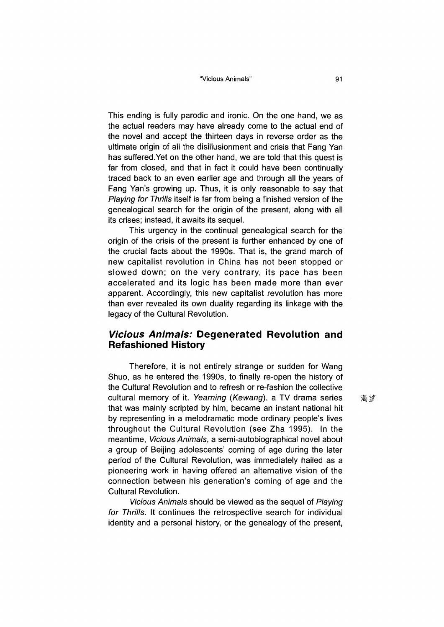This ending is fully parodic and ironic. On the one hand, we as the actual readers may have already come to the actual end of the novel and accept the thirteen days in reverse order as the ultimate origin of all the disillusionment and crisis that Fang Yan has suffered.Yet on the other hand, we are told that this quest is far from closed, and that in fact it could have been continually traced back to an even earlier age and through all the years of Fang Yan's growing up. Thus, it is only reasonable to say that *Playing for Thrills* itself is far from being a finished version of the genealogical search for the origin of the present, along with all its crises; instead, it awaits its sequel.

This urgency in the continual genealogical search for the origin of the crisis of the present is further enhanced by one of the crucial facts about the 1990s. That is, the grand march of new capitalist revolution in China has not been stopped or slowed down; on the very contrary, its pace has been accelerated and its logic has been made more than ever apparent. Accordingly, this new capitalist revolution has more than ever revealed its own duality regarding its linkage with the legacy of the Cultural Revolution.

### *Vicious Animals:* **Degenerated Revolution and Refashioned History**

Therefore, it is not entirely strange or sudden for Wang Shuo, as he entered the 1990s, to finally re-open the history of the Cultural Revolution and to refresh or re-fashion the collective cultural memory of it. *Yearning (Kewang),* a TV drama series that was mainly scripted by him, became an instant national hit by representing in a melodramatic mode ordinary people's lives throughout the Cultural Revolution (see Zha 1995). In the meantime, *Vicious Animals,* a semi-autobiographical novel about a group of Beijing adolescents' coming of age during the later period of the Cultural Revolution, was immediately hailed as a pioneering work in having offered an alternative vision of the connection between his generation's coming of age and the Cultural Revolution.

*Vicious Animals* should be viewed as the sequel of *Playing for Thrills.* It continues the retrospective search for individual identity and a personal history, or the genealogy of the present,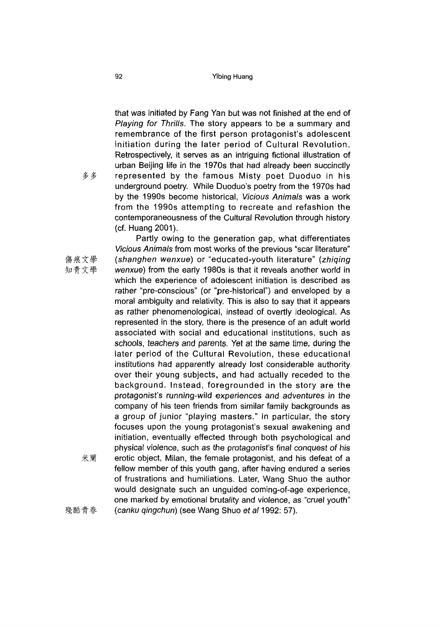that was initiated by Fang Yan but was not finished at the end of *Playing for Thrills.* The story appears to be a summary and remembrance of the first person protagonist's adolescent initiation during the later period of Cultural Revolution. Retrospectively, it serves as an intriguing fictional illustration of urban Beijing life in the 1970s that had already been succinctly represented by the famous Misty poet Duoduo in his underground poetry. While Duoduo's poetry from the 1970s had by the 1990s become historical, *Vicious Animals* was a work from the 1990s attempting to recreate and refashion the contemporaneousness of the Cultural Revolution through history (cf. Huang 2001).

米蘭 Partly owing to the generation gap, what differentiates *Vicious Animals* from most works of the previous "scar literature" *(shanghen wenxue)* or "educated-youth literature" *{zhiqing wenxue)* from the early 1980s is that it reveals another world in which the experience of adolescent initiation is described as rather "pre-conscious" (or "pre-historical") and enveloped by a moral ambiguity and relativity. This is also to say that it appears as rather phenomenological, instead of overtly ideological. As represented in the story, there is the presence of an adult world associated with social and educational institutions, such as schools, teachers and parents. Yet at the same time, during the later period of the Cultural Revolution, these educational institutions had apparently already lost considerable authority over their young subjects, and had actually receded to the background. Instead, foregrounded in the story are the protagonist's running-wild experiences and adventures in the company of his teen friends from similar family backgrounds as a group of junior "playing masters." In particular, the story focuses upon the young protagonist's sexual awakening and initiation, eventually effected through both psychological and physical violence, such as the protagonist's final conquest of his erotic object, Milan, the female protagonist, and his defeat of a fellow member of this youth gang, after having endured a series of frustrations and humiliations. Later, Wang Shuo the author would designate such an unguided coming-of-age experience, one marked by emotional brutality and violence, as "cruel youth" *(canku qingchun)* (see Wang Shuo *et al* 1992: 57).

多多

傷痕文學 知青文學

殘酷青春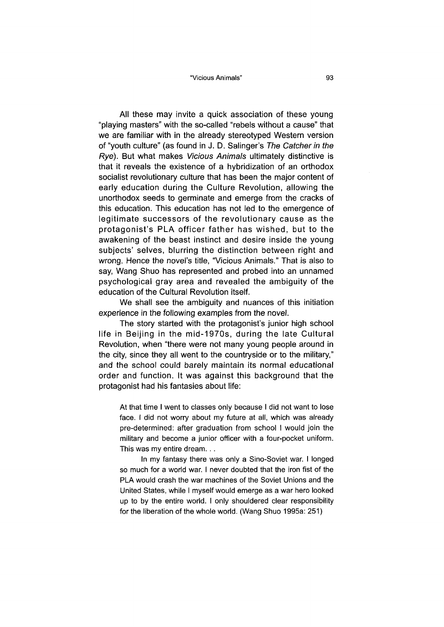All these may invite a quick association of these young "playing masters" with the so-called "rebels without a cause" that we are familiar with in the already stereotyped Western version of "youth culture" (as found in J. D. Salinger's *The Catcher in the Rye).* But what makes *Vicious Animals* ultimately distinctive is that it reveals the existence of a hybridization of an orthodox socialist revolutionary culture that has been the major content of early education during the Culture Revolution, allowing the unorthodox seeds to germinate and emerge from the cracks of this education. This education has not led to the emergence of legitimate successors of the revolutionary cause as the protagonist's PLA officer father has wished, but to the awakening of the beast instinct and desire inside the young subjects' selves, blurring the distinction between right and wrong. Hence the novel's title, "Vicious Animals." That is also to say, Wang Shuo has represented and probed into an unnamed psychological gray area and revealed the ambiguity of the education of the Cultural Revolution itself.

We shall see the ambiguity and nuances of this initiation experience in the following examples from the novel.

The story started with the protagonist's junior high school life in Beijing in the mid-1970s, during the late Cultural Revolution, when "there were not many young people around in the city, since they all went to the countryside or to the military, and the school could barely maintain its normal educational order and function. It was against this background that the protagonist had his fantasies about life:

At that time I went to classes only because I did not want to lose face. I did not worry about my future at all, which was already pre-determined: after graduation from school I would join the military and become a junior officer with a four-pocket uniform. This was my entire dream...

In my fantasy there was only a Sino-Soviet war. I longed so much for a world war. I never doubted that the iron fist of the PLA would crash the war machines of the Soviet Unions and the United States, while I myself would emerge as a war hero looked up to by the entire world. I only shouldered clear responsibility for the liberation of the whole world. (Wang Shuo 1995a: 251)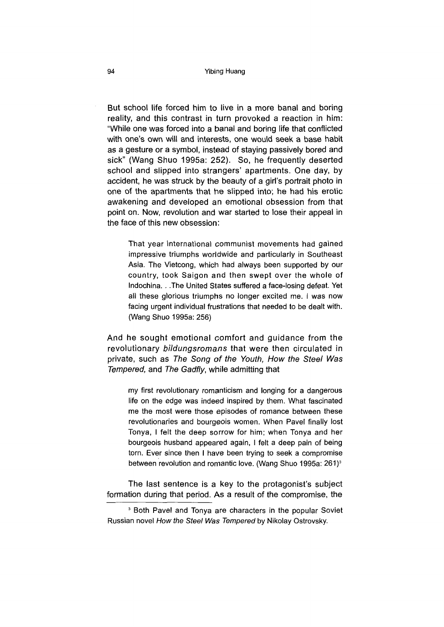But school life forced him to live in a more banal and boring reality, and this contrast in turn provoked a reaction in him: "While one was forced into a banal and boring life that conflicted with one's own will and interests, one would seek a base habit as a gesture or a symbol, instead of staying passively bored and sick" (Wang Shuo 1995a: 252). So, he frequently deserted school and slipped into strangers' apartments. One day, by accident, he was struck by the beauty of a girl's portrait photo in one of the apartments that he slipped into; he had his erotic awakening and developed an emotional obsession from that point on. Now, revolution and war started to lose their appeal in the face of this new obsession:

That year international communist movements had gained impressive triumphs worldwide and particularly in Southeast Asia. The Vietcong, which had always been supported by our country, took Saigon and then swept over the whole of Indochina. . .The United States suffered a face-losing defeat. Yet all these glorious triumphs no longer excited me. I was now facing urgent individual frustrations that needed to be dealt with. (Wang Shuo 1995a: 256)

And he sought emotional comfort and guidance from the revolutionary *bildungsromans* that were then circulated in private, such as *The Song of the Youth, How the Steel Was Tempered,* and *The Gadfly,* while admitting that

my first revolutionary romanticism and longing for a dangerous life on the edge was indeed inspired by them. What fascinated me the most were those episodes of romance between these revolutionaries and bourgeois women. When Pavel finally lost Tonya, I felt the deep sorrow for him; when Tonya and her bourgeois husband appeared again, I felt a deep pain of being torn. Ever since then I have been trying to seek a compromise between revolution and romantic love. (Wang Shuo 1995a: 261)<sup>3</sup>

The last sentence is a key to the protagonist's subject formation during that period. As a result of the compromise, the

<sup>3</sup> Both Pavel and Tonya are characters in the popular Soviet Russian novel *How the Steel Was Tempered* by Nikolay Ostrovsky.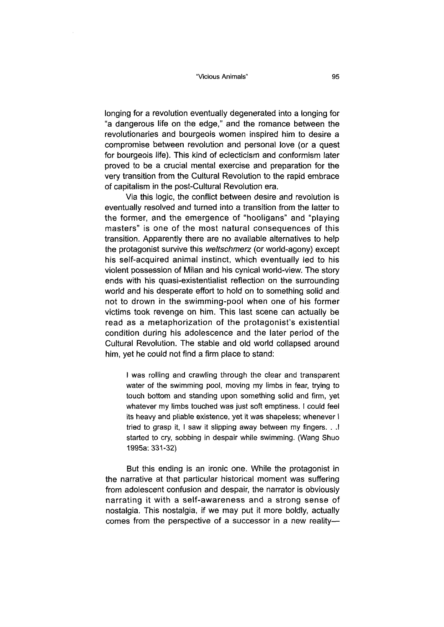longing for a revolution eventually degenerated into a longing for "a dangerous life on the edge," and the romance between the revolutionaries and bourgeois women inspired him to desire a compromise between revolution and personal love (or a quest for bourgeois life). This kind of eclecticism and conformism later proved to be a crucial mental exercise and preparation for the very transition from the Cultural Revolution to the rapid embrace of capitalism in the post-Cultural Revolution era.

Via this logic, the conflict between desire and revolution is eventually resolved and turned into a transition from the latter to the former, and the emergence of "hooligans" and "playing masters" is one of the most natural consequences of this transition. Apparently there are no available alternatives to help the protagonist survive this *weltschmerz* (or world-agony) except his self-acquired animal instinct, which eventually led to his violent possession of Milan and his cynical world-view. The story ends with his quasi-existentialist reflection on the surrounding world and his desperate effort to hold on to something solid and not to drown in the swimming-pool when one of his former victims took revenge on him. This last scene can actually be read as a metaphorization of the protagonist's existential condition during his adolescence and the later period of the Cultural Revolution. The stable and old world collapsed around him, yet he could not find a firm place to stand:

I was rolling and crawling through the clear and transparent water of the swimming pool, moving my limbs in fear, trying to touch bottom and standing upon something solid and firm, yet whatever my limbs touched was just soft emptiness. I could feel its heavy and pliable existence, yet it was shapeless; whenever I tried to grasp it, I saw it slipping away between my fingers. . .1 started to cry, sobbing in despair while swimming. (Wang Shuo 1995a: 331-32)

But this ending is an ironic one. While the protagonist in the narrative at that particular historical moment was suffering from adolescent confusion and despair, the narrator is obviously narrating it with a self-awareness and a strong sense of nostalgia. This nostalgia, if we may put it more boldly, actually comes from the perspective of a successor in a new reality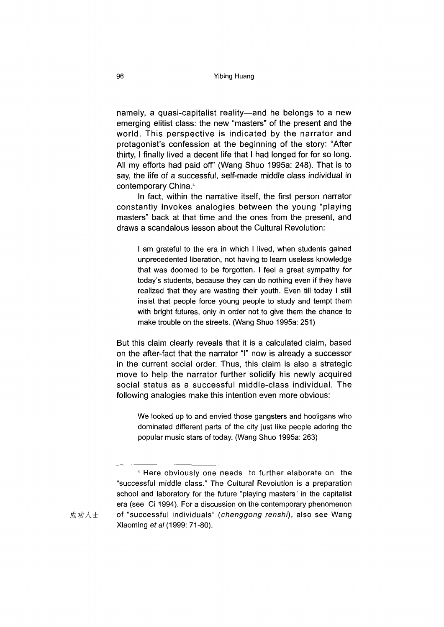namely, a quasi-capitalist reality—and he belongs to a new emerging elitist class: the new "masters" of the present and the world. This perspective is indicated by the narrator and protagonist's confession at the beginning of the story: "After thirty, I finally lived a decent life that I had longed for for so long. All my efforts had paid off' (Wang Shuo 1995a: 248). That is to say, the life of a successful, self-made middle class individual in contemporary China.4

In fact, within the narrative itself, the first person narrator constantly invokes analogies between the young "playing masters" back at that time and the ones from the present, and draws a scandalous lesson about the Cultural Revolution:

I am grateful to the era in which I lived, when students gained unprecedented liberation, not having to learn useless knowledge that was doomed to be forgotten. I feel a great sympathy for today's students, because they can do nothing even if they have realized that they are wasting their youth. Even till today I still insist that people force young people to study and tempt them with bright futures, only in order not to give them the chance to make trouble on the streets. (Wang Shuo 1995a: 251)

But this claim clearly reveals that it is a calculated claim, based on the after-fact that the narrator *T* now is already a successor in the current social order. Thus, this claim is also a strategic move to help the narrator further solidify his newly acquired social status as a successful middle-class individual. The following analogies make this intention even more obvious:

We looked up to and envied those gangsters and hooligans who dominated different parts of the city just like people adoring the popular music stars of today. (Wang Shuo 1995a: 263)

<sup>4</sup> Here obviously one needs to further elaborate on the "successful middle class." The Cultural Revolution is a preparation school and laboratory for the future "playing masters" in the capitalist era (see Ci 1994). For a discussion on the contemporary phenomenon 成功人士 of "successful individuals" (*chenggong renshi*), also see Wang Xiaoming *et al* (1999: 71-80).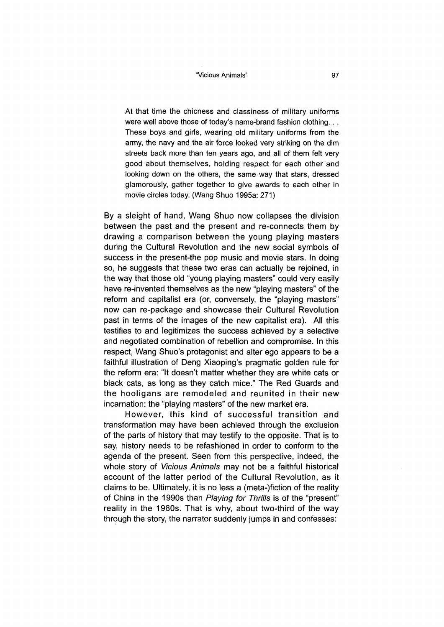At that time the chicness and classiness of military uniforms were well above those of today's name-brand fashion clothing. . . These boys and girls, wearing old military uniforms from the army, the navy and the air force looked very striking on the dim streets back more than ten years ago, and all of them felt very good about themselves, holding respect for each other and looking down on the others, the same way that stars, dressed glamorously, gather together to give awards to each other in movie circles today. (Wang Shuo 1995a: 271)

By a sleight of hand, Wang Shuo now collapses the division between the past and the present and re-connects them by drawing a comparison between the young playing masters during the Cultural Revolution and the new social symbols of success in the present-the pop music and movie stars. In doing so, he suggests that these two eras can actually be rejoined, in the way that those old "young playing masters" could very easily have re-invented themselves as the new "playing masters" of the reform and capitalist era (or, conversely, the "playing masters" now can re-package and showcase their Cultural Revolution past in terms of the images of the new capitalist era). All this testifies to and legitimizes the success achieved by a selective and negotiated combination of rebellion and compromise. In this respect, Wang Shuo's protagonist and alter ego appears to be a faithful illustration of Deng Xiaoping's pragmatic golden rule for the reform era: "It doesn't matter whether they are white cats or black cats, as long as they catch mice." The Red Guards and the hooligans are remodeled and reunited in their new incarnation: the "playing masters" of the new market era.

However, this kind of successful transition and transformation may have been achieved through the exclusion of the parts of history that may testify to the opposite. That is to say, history needs to be refashioned in order to conform to the agenda of the present. Seen from this perspective, indeed, the whole story of *Vicious Animals* may not be a faithful historical account of the latter period of the Cultural Revolution, as it claims to be. Ultimately, it is no less a (meta-)fiction of the reality of China in the 1990s than *Playing for Thrills* is of the "present" reality in the 1980s. That is why, about two-third of the way through the story, the narrator suddenly jumps in and confesses: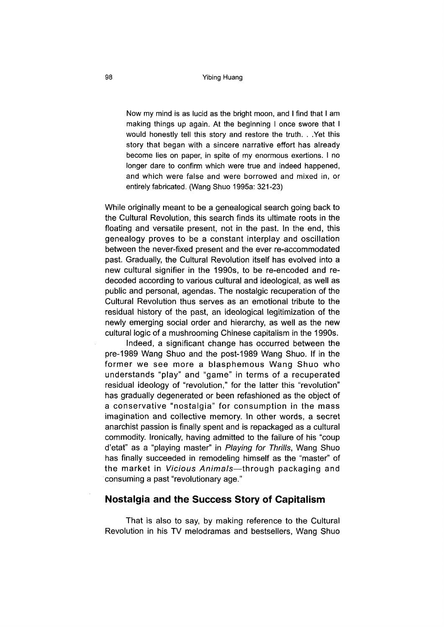Now my mind is as lucid as the bright moon, and I find that I am making things up again. At the beginning I once swore that I would honestly tell this story and restore the truth. . .Yet this story that began with a sincere narrative effort has already become lies on paper, in spite of my enormous exertions. I no longer dare to confirm which were true and indeed happened, and which were false and were borrowed and mixed in, or entirely fabricated. (Wang Shuo 1995a: 321-23)

While originally meant to be a genealogical search going back to the Cultural Revolution, this search finds its ultimate roots in the floating and versatile present, not in the past. In the end, this genealogy proves to be a constant interplay and oscillation between the never-fixed present and the ever re-accommodated past. Gradually, the Cultural Revolution itself has evolved into a new cultural signifier in the 1990s, to be re-encoded and redecoded according to various cultural and ideological, as well as public and personal, agendas. The nostalgic recuperation of the Cultural Revolution thus serves as an emotional tribute to the residual history of the past, an ideological legitimization of the newly emerging social order and hierarchy, as well as the new cultural logic of a mushrooming Chinese capitalism in the 1990s.

Indeed, a significant change has occurred between the pre-1989 Wang Shuo and the post-1989 Wang Shuo. If in the former we see more a blasphemous Wang Shuo who understands "play" and "game" in terms of a recuperated residual ideology of "revolution," for the latter this "revolution" has gradually degenerated or been refashioned as the object of a conservative "nostalgia" for consumption in the mass imagination and collective memory. In other words, a secret anarchist passion is finally spent and is repackaged as a cultural commodity. Ironically, having admitted to the failure of his "coup d'etat" as a "playing master" in *Playing for Thrills*, Wang Shuo has finally succeeded in remodeling himself as the "master" of the market in *Vicious Animals*—through packaging and consuming a past "revolutionary age."

### **Nostalgia and the Success Story of Capitalism**

That is also to say, by making reference to the Cultural Revolution in his TV melodramas and bestsellers, Wang Shuo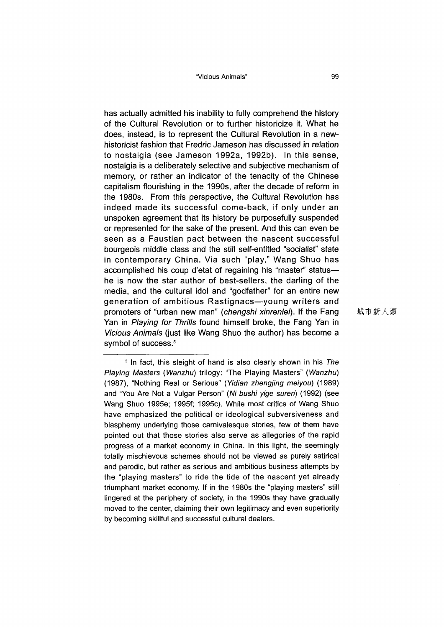has actually admitted his inability to fully comprehend the history of the Cultural Revolution or to further historicize it. What he does, instead, is to represent the Cultural Revolution in a newhistoricist fashion that Fredric Jameson has discussed in relation to nostalgia (see Jameson 1992a, 1992b). In this sense, nostalgia is a deliberately selective and subjective mechanism of memory, or rather an indicator of the tenacity of the Chinese capitalism flourishing in the 1990s, after the decade of reform in the 1980s. From this perspective, the Cultural Revolution has indeed made its successful come-back, if only under an unspoken agreement that its history be purposefully suspended or represented for the sake of the present. And this can even be seen as a Faustian pact between the nascent successful bourgeois middle class and the still self-entitled "socialist" state in contemporary China. Via such "play," Wang Shuo has accomplished his coup d'etat of regaining his "master" status he is now the star author of best-sellers, the darling of the media, and the cultural idol and "godfather" for an entire new generation of ambitious Rastignacs—young writers and promoters of "urban new man" *(chengshi xinrenlei).* If the Fang Yan in *Playing for Thrills* found himself broke, the Fang Yan in *Vicious Animals* (just like Wang Shuo the author) has become a symbol of success.<sup>5</sup>

城市新人類

<sup>5</sup> In fact, this sleight of hand is also clearly shown in his *The Playing Masters (Wanzhu)* trilogy: "The Playing Masters" (Wanzhu) (1987), ^Nothing Real or Serious" *(Yidian zhengjing meiyou)* (1989) and "You Are Not a Vulgar Person" (Ni bushi yige suren) (1992) (see Wang Shuo 1995e; 1995f; 1995c). While most critics of Wang Shuo have emphasized the political or ideological subversiveness and blasphemy underlying those carnivalesque stories, few of them have pointed out that those stories also serve as allegories of the rapid progress of a market economy in China. In this light, the seemingly totally mischievous schemes should not be viewed as purely satirical and parodic, but rather as serious and ambitious business attempts by the "playing masters" to ride the tide of the nascent yet already triumphant market economy. If in the 1980s the "playing masters" still lingered at the periphery of society, in the 1990s they have gradually moved to the center, claiming their own legitimacy and even superiority by becoming skillful and successful cultural dealers.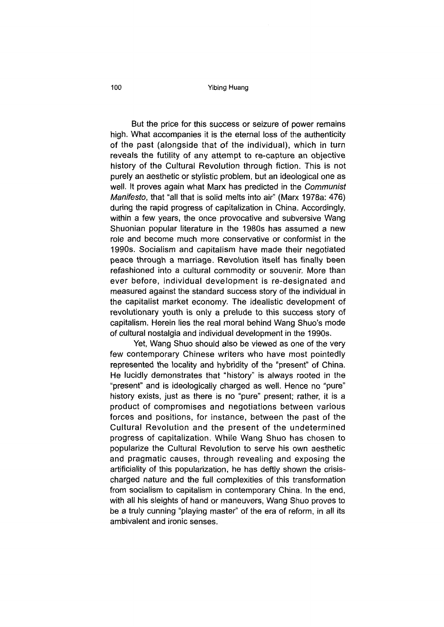#### **100** Yibing Huang

But the price for this success or seizure of power remains high. What accompanies it is the eternal loss of the authenticity of the past (alongside that of the individual), which in turn reveals the futility of any attempt to re-capture an objective history of the Cultural Revolution through fiction. This is not purely an aesthetic or stylistic problem, but an ideological one as well. It proves again what Marx has predicted in the *Communist Manifesto, that "all that is solid melts into air" (Marx 1978a: 476)* during the rapid progress of capitalization in China. Accordingly, within a few years, the once provocative and subversive Wang Shuonian popular literature in the 1980s has assumed a new role and become much more conservative or conformist in the 1990s. Socialism and capitalism have made their negotiated peace through a marriage. Revolution itself has finally been refashioned into a cultural commodity or souvenir. More than ever before, individual development is re-designated and measured against the standard success story of the individual in the capitalist market economy. The idealistic development of revolutionary youth is only a prelude to this success story of capitalism. Herein lies the real moral behind Wang Shuo's mode of cultural nostalgia and individual development in the 1990s.

Yet, Wang Shuo should also be viewed as one of the very few contemporary Chinese writers who have most pointedly represented the locality and hybridity of the "present" of China. He lucidly demonstrates that "history" is always rooted in the "present" and is ideologically charged as well. Hence no "pure" history exists, just as there is no "pure" present; rather, it is a product of compromises and negotiations between various forces and positions, for instance, between the past of the Cultural Revolution and the present of the undetermined progress of capitalization. While Wang Shuo has chosen to popularize the Cultural Revolution to serve his own aesthetic and pragmatic causes, through revealing and exposing the artificiality of this popularization, he has deftly shown the crisischarged nature and the full complexities of this transformation from socialism to capitalism in contemporary China. In the end, with all his sleights of hand or maneuvers, Wang Shuo proves to be a truly cunning "playing master" of the era of reform, in all its ambivalent and ironic senses.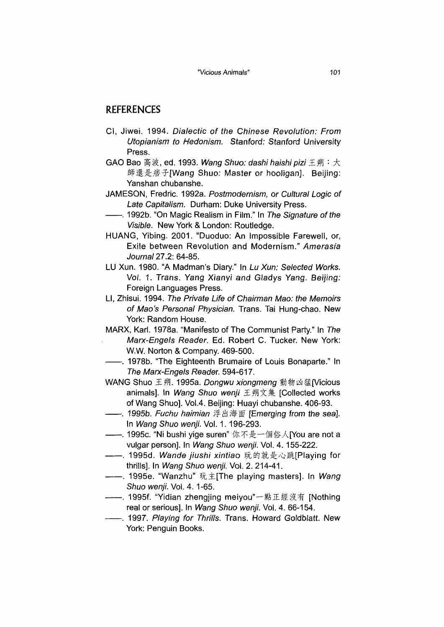## REFERENCES

- Cl, Jiwei. 1994. *Dialectic of the Chinese Revolution: From Utopianism to Hedonism.* Stanford: Stanford University Press.
- GAO Bao 高波, ed. 1993. Wang Shuo: dashi haishi pizi 王朔: 大 師還是痞子[Wang Shuo: Master or hooligan]. Beijing: Yanshan chubanshe.
- JAMESON, Fredric. 1992a. *Postmodernism, or Cultural Logic of Late Capitalism.* Durham: Duke University Press.
- ------. 1992b. (lOn Magic Realism in Film." In *The Signature of the Visible.* New York & London: Routledge.
- HUANG, Yibing. 2001. "Duoduo: An Impossible Farewell, or, Exile between Revolution and Modernism/' *Amerasia Journal* 27.2: 64-85.
- LU Xun. 1980. "A Madman's Diary." In *Lu Xun: Selected Works.* Vol. 1, Trans. Yang Xianyi and Gladys Yang. Beijing: Foreign Languages Press.
- LI, Zhisui. 1994. *The Private Life of Chairman Mao: the Memoirs of Mao}s Personal Physician.* Trans. Tai Hung-chao. New York: Random House.
- MARX, Karl. 1978a. "Manifesto of The Communist Party." In The *Marx-Engels Reader.* Ed. Robert C. Tucker. New York: W.W. Norton & Company. 469-500.
- -. 1978b. "The Eighteenth Brumaire of Louis Bonaparte." In *The Marx-Engels* Reader. 594-617.

WANG Shuo 王朔. 1995a. Dongwu xiongmeng 動物凶猛(Vicious animals]. In *Wang Shuo wenji* 王朔文集 [Collected works of Wang Shuo]. Vol.4. Beijing: Huayi chubanshe. 406-93.

- ------ *1995b. ha/m/an 浮出海面[Emerging from the sea].* In *Wang Shuo wenji.* Vol. 1. 196-293.
- ——. 1995c. "Ni bushi yige suren" 你不是一個俗人[You are not a vulgar person]. In *Wang Shuo wenji.* Vol. 4. 155-222.
- ——. 1995d. *Wande iiushi xintia*o 玩的就是心跳[Playing for thrills]. In *Wang Shuo wenji.* Vol. 2. 214-41.
- ----- 1995e. "Wanzhu" 玩主[The playing masters]. In Wang *Shuo wenji.* Vol. 4. 1-65.
- ——. 1995f. "Yidian zhengjing meiyou"一點正經沒有 [Nothing real or serious]. In *Wang Shuo wenji.* Vol. 4. 66-154.
- -, 1997. *Playing for Thrills.* Trans. Howard Goldblatt. New York: Penguin Books.